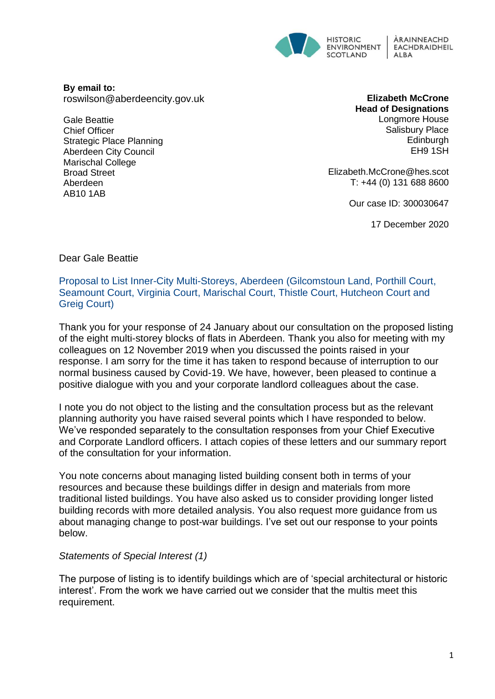

**By email to:**  roswilson@aberdeencity.gov.uk

Gale Beattie Chief Officer Strategic Place Planning Aberdeen City Council Marischal College Broad Street Aberdeen AB10 1AB

**Elizabeth McCrone Head of Designations** Longmore House Salisbury Place **Edinburgh** EH9 1SH

Elizabeth.McCrone@hes.scot T: +44 (0) 131 688 8600

Our case ID: 300030647

17 December 2020

### Dear Gale Beattie

Proposal to List Inner-City Multi-Storeys, Aberdeen (Gilcomstoun Land, Porthill Court, Seamount Court, Virginia Court, Marischal Court, Thistle Court, Hutcheon Court and Greig Court)

Thank you for your response of 24 January about our consultation on the proposed listing of the eight multi-storey blocks of flats in Aberdeen. Thank you also for meeting with my colleagues on 12 November 2019 when you discussed the points raised in your response. I am sorry for the time it has taken to respond because of interruption to our normal business caused by Covid-19. We have, however, been pleased to continue a positive dialogue with you and your corporate landlord colleagues about the case.

I note you do not object to the listing and the consultation process but as the relevant planning authority you have raised several points which I have responded to below. We've responded separately to the consultation responses from your Chief Executive and Corporate Landlord officers. I attach copies of these letters and our summary report of the consultation for your information.

You note concerns about managing listed building consent both in terms of your resources and because these buildings differ in design and materials from more traditional listed buildings. You have also asked us to consider providing longer listed building records with more detailed analysis. You also request more guidance from us about managing change to post-war buildings. I've set out our response to your points below.

#### *Statements of Special Interest (1)*

The purpose of listing is to identify buildings which are of 'special architectural or historic interest'. From the work we have carried out we consider that the multis meet this requirement.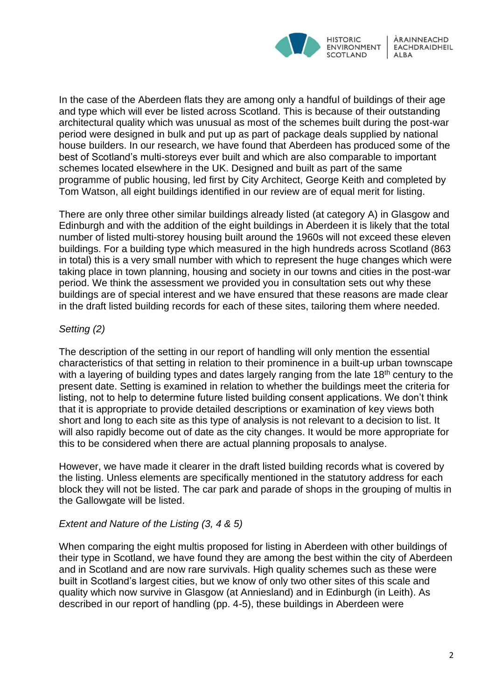

In the case of the Aberdeen flats they are among only a handful of buildings of their age and type which will ever be listed across Scotland. This is because of their outstanding architectural quality which was unusual as most of the schemes built during the post-war period were designed in bulk and put up as part of package deals supplied by national house builders. In our research, we have found that Aberdeen has produced some of the best of Scotland's multi-storeys ever built and which are also comparable to important schemes located elsewhere in the UK. Designed and built as part of the same programme of public housing, led first by City Architect, George Keith and completed by Tom Watson, all eight buildings identified in our review are of equal merit for listing.

There are only three other similar buildings already listed (at category A) in Glasgow and Edinburgh and with the addition of the eight buildings in Aberdeen it is likely that the total number of listed multi-storey housing built around the 1960s will not exceed these eleven buildings. For a building type which measured in the high hundreds across Scotland (863 in total) this is a very small number with which to represent the huge changes which were taking place in town planning, housing and society in our towns and cities in the post-war period. We think the assessment we provided you in consultation sets out why these buildings are of special interest and we have ensured that these reasons are made clear in the draft listed building records for each of these sites, tailoring them where needed.

# *Setting (2)*

The description of the setting in our report of handling will only mention the essential characteristics of that setting in relation to their prominence in a built-up urban townscape with a layering of building types and dates largely ranging from the late 18<sup>th</sup> century to the present date. Setting is examined in relation to whether the buildings meet the criteria for listing, not to help to determine future listed building consent applications. We don't think that it is appropriate to provide detailed descriptions or examination of key views both short and long to each site as this type of analysis is not relevant to a decision to list. It will also rapidly become out of date as the city changes. It would be more appropriate for this to be considered when there are actual planning proposals to analyse.

However, we have made it clearer in the draft listed building records what is covered by the listing. Unless elements are specifically mentioned in the statutory address for each block they will not be listed. The car park and parade of shops in the grouping of multis in the Gallowgate will be listed.

#### *Extent and Nature of the Listing (3, 4 & 5)*

When comparing the eight multis proposed for listing in Aberdeen with other buildings of their type in Scotland, we have found they are among the best within the city of Aberdeen and in Scotland and are now rare survivals. High quality schemes such as these were built in Scotland's largest cities, but we know of only two other sites of this scale and quality which now survive in Glasgow (at Anniesland) and in Edinburgh (in Leith). As described in our report of handling (pp. 4-5), these buildings in Aberdeen were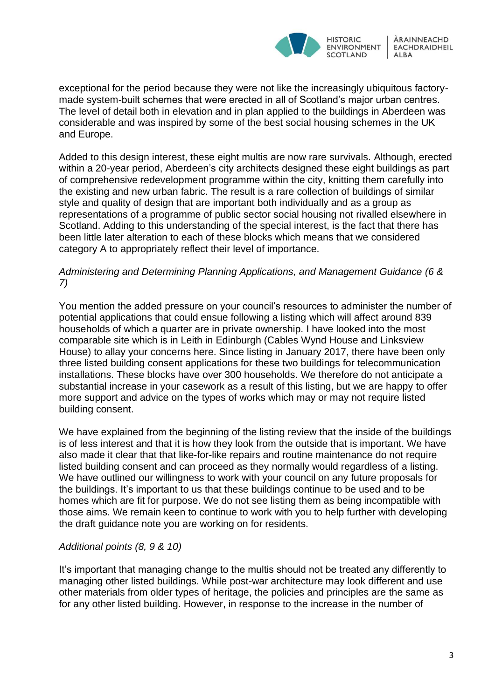

exceptional for the period because they were not like the increasingly ubiquitous factorymade system-built schemes that were erected in all of Scotland's major urban centres. The level of detail both in elevation and in plan applied to the buildings in Aberdeen was considerable and was inspired by some of the best social housing schemes in the UK and Europe.

Added to this design interest, these eight multis are now rare survivals. Although, erected within a 20-year period, Aberdeen's city architects designed these eight buildings as part of comprehensive redevelopment programme within the city, knitting them carefully into the existing and new urban fabric. The result is a rare collection of buildings of similar style and quality of design that are important both individually and as a group as representations of a programme of public sector social housing not rivalled elsewhere in Scotland. Adding to this understanding of the special interest, is the fact that there has been little later alteration to each of these blocks which means that we considered category A to appropriately reflect their level of importance.

## *Administering and Determining Planning Applications, and Management Guidance (6 & 7)*

You mention the added pressure on your council's resources to administer the number of potential applications that could ensue following a listing which will affect around 839 households of which a quarter are in private ownership. I have looked into the most comparable site which is in Leith in Edinburgh (Cables Wynd House and Linksview House) to allay your concerns here. Since listing in January 2017, there have been only three listed building consent applications for these two buildings for telecommunication installations. These blocks have over 300 households. We therefore do not anticipate a substantial increase in your casework as a result of this listing, but we are happy to offer more support and advice on the types of works which may or may not require listed building consent.

We have explained from the beginning of the listing review that the inside of the buildings is of less interest and that it is how they look from the outside that is important. We have also made it clear that that like-for-like repairs and routine maintenance do not require listed building consent and can proceed as they normally would regardless of a listing. We have outlined our willingness to work with your council on any future proposals for the buildings. It's important to us that these buildings continue to be used and to be homes which are fit for purpose. We do not see listing them as being incompatible with those aims. We remain keen to continue to work with you to help further with developing the draft guidance note you are working on for residents.

# *Additional points (8, 9 & 10)*

It's important that managing change to the multis should not be treated any differently to managing other listed buildings. While post-war architecture may look different and use other materials from older types of heritage, the policies and principles are the same as for any other listed building. However, in response to the increase in the number of